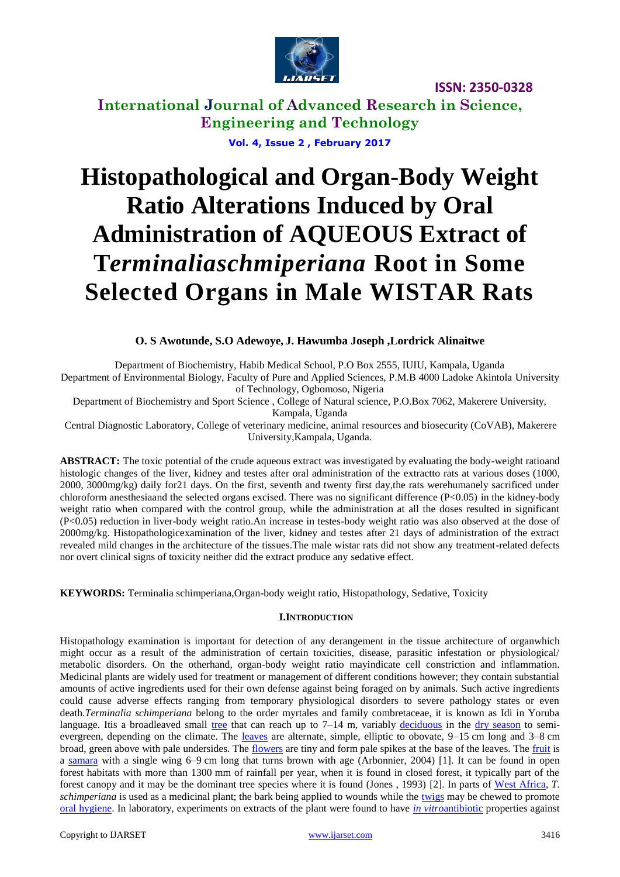

**ISSN: 2350-0328**

**International Journal of Advanced Research in Science, Engineering and Technology Vol. 4, Issue 2 , February 2017**

# **Histopathological and Organ-Body Weight Ratio Alterations Induced by Oral Administration of AQUEOUS Extract of T***erminaliaschmiperiana* **Root in Some Selected Organs in Male WISTAR Rats**

# **O. S Awotunde, S.O Adewoye, J. Hawumba Joseph ,Lordrick Alinaitwe**

Department of Biochemistry, Habib Medical School, P.O Box 2555, IUIU, Kampala, Uganda

Department of Environmental Biology, Faculty of Pure and Applied Sciences, P.M.B 4000 Ladoke Akintola University of Technology, Ogbomoso, Nigeria

Department of Biochemistry and Sport Science , College of Natural science, P.O.Box 7062, Makerere University,

Kampala, Uganda

Central Diagnostic Laboratory, College of veterinary medicine, animal resources and biosecurity (CoVAB), Makerere University,Kampala, Uganda.

**ABSTRACT:** The toxic potential of the crude aqueous extract was investigated by evaluating the body-weight ratioand histologic changes of the liver, kidney and testes after oral administration of the extractto rats at various doses (1000, 2000, 3000mg/kg) daily for21 days. On the first, seventh and twenty first day,the rats werehumanely sacrificed under chloroform anesthesiaand the selected organs excised. There was no significant difference  $(P<0.05)$  in the kidney-body weight ratio when compared with the control group, while the administration at all the doses resulted in significant (P<0.05) reduction in liver-body weight ratio.An increase in testes-body weight ratio was also observed at the dose of 2000mg/kg. Histopathologicexamination of the liver, kidney and testes after 21 days of administration of the extract revealed mild changes in the architecture of the tissues.The male wistar rats did not show any treatment-related defects nor overt clinical signs of toxicity neither did the extract produce any sedative effect.

**KEYWORDS:** Terminalia schimperiana,Organ-body weight ratio, Histopathology, Sedative, Toxicity

# **I.INTRODUCTION**

Histopathology examination is important for detection of any derangement in the tissue architecture of organwhich might occur as a result of the administration of certain toxicities, disease, parasitic infestation or physiological/ metabolic disorders. On the otherhand, organ-body weight ratio mayindicate cell constriction and inflammation. Medicinal plants are widely used for treatment or management of different conditions however; they contain substantial amounts of active ingredients used for their own defense against being foraged on by animals. Such active ingredients could cause adverse effects ranging from temporary physiological disorders to severe pathology states or even death.*Terminalia schimperiana* belong to the order myrtales and family combretaceae, it is known as Idi in Yoruba language. Itis a broadleaved small [tree](http://en.wikipedia.org/wiki/Tree) that can reach up to  $7-14$  m, variably [deciduous](http://en.wikipedia.org/wiki/Deciduous) in the [dry season](http://en.wikipedia.org/wiki/Dry_season) to semievergreen, depending on the climate. The [leaves](http://en.wikipedia.org/wiki/Leaf) are alternate, simple, elliptic to obovate, 9–15 cm long and 3–8 cm broad, green above with pale undersides. The [flowers](http://en.wikipedia.org/wiki/Flower) are tiny and form pale spikes at the base of the leaves. The [fruit](http://en.wikipedia.org/wiki/Fruit) is a [samara](http://en.wikipedia.org/wiki/Samara_%28fruit%29) with a single wing 6–9 cm long that turns brown with age (Arbonnier, 2004) [1]. It can be found in open forest habitats with more than 1300 mm of rainfall per year, when it is found in closed forest, it typically part of the forest canopy and it may be the dominant tree species where it is found (Jones , 1993) [2]. In parts of [West Africa,](http://en.wikipedia.org/wiki/West_Africa) *T. schimperiana* is used as a medicinal plant; the bark being applied to wounds while the [twigs](http://en.wikipedia.org/wiki/Twig) may be chewed to promote [oral hygiene.](http://en.wikipedia.org/wiki/Oral_hygiene) In laboratory, experiments on extracts of the plant were found to have *[in vitro](http://en.wikipedia.org/wiki/In_vitro)*[antibiotic](http://en.wikipedia.org/wiki/In_vitro) properties against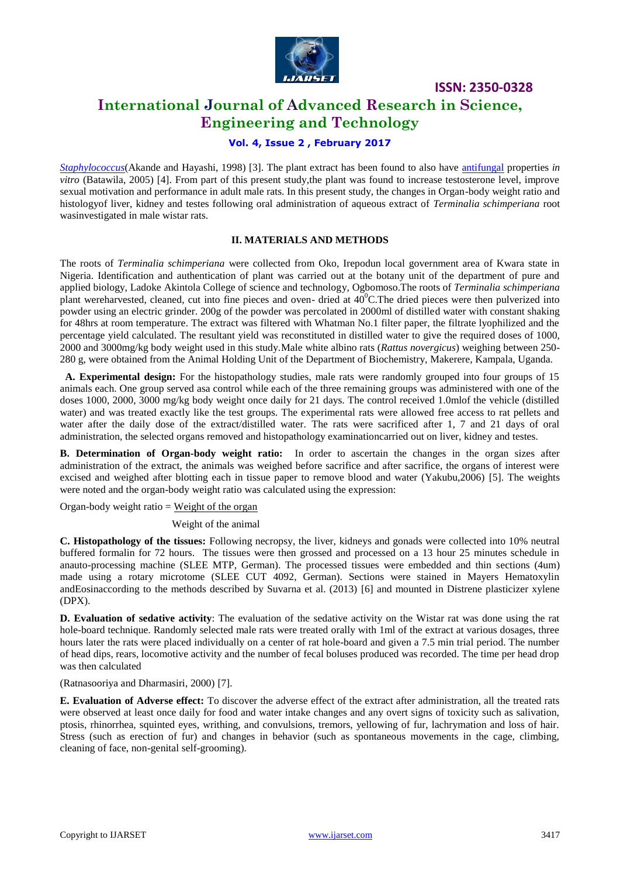

**ISSN: 2350-0328**

# **International Journal of Advanced Research in Science, Engineering and Technology**

# **Vol. 4, Issue 2 , February 2017**

*[Staphylococcus](http://en.wikipedia.org/wiki/Staphylococcus)*(Akande and Hayashi, 1998) [3]. The plant extract has been found to also have [antifungal](http://en.wikipedia.org/wiki/Antifungal_drug) properties *in vitro* (Batawila, 2005) [4]. From part of this present study,the plant was found to increase testosterone level, improve sexual motivation and performance in adult male rats. In this present study, the changes in Organ-body weight ratio and histologyof liver, kidney and testes following oral administration of aqueous extract of *Terminalia schimperiana* root wasinvestigated in male wistar rats.

## **II. MATERIALS AND METHODS**

The roots of *Terminalia schimperiana* were collected from Oko, Irepodun local government area of Kwara state in Nigeria. Identification and authentication of plant was carried out at the botany unit of the department of pure and applied biology, Ladoke Akintola College of science and technology, Ogbomoso.The roots of *Terminalia schimperiana*  plant wereharvested, cleaned, cut into fine pieces and oven- dried at  $40^{\circ}$ C. The dried pieces were then pulverized into powder using an electric grinder. 200g of the powder was percolated in 2000ml of distilled water with constant shaking for 48hrs at room temperature. The extract was filtered with Whatman No.1 filter paper, the filtrate lyophilized and the percentage yield calculated. The resultant yield was reconstituted in distilled water to give the required doses of 1000, 2000 and 3000mg/kg body weight used in this study.Male white albino rats (*Rattus novergicus*) weighing between 250- 280 g, were obtained from the Animal Holding Unit of the Department of Biochemistry, Makerere, Kampala, Uganda.

 **A. Experimental design:** For the histopathology studies, male rats were randomly grouped into four groups of 15 animals each. One group served asa control while each of the three remaining groups was administered with one of the doses 1000, 2000, 3000 mg/kg body weight once daily for 21 days. The control received 1.0mlof the vehicle (distilled water) and was treated exactly like the test groups. The experimental rats were allowed free access to rat pellets and water after the daily dose of the extract/distilled water. The rats were sacrificed after 1, 7 and 21 days of oral administration, the selected organs removed and histopathology examinationcarried out on liver, kidney and testes.

**B. Determination of Organ-body weight ratio:** In order to ascertain the changes in the organ sizes after administration of the extract, the animals was weighed before sacrifice and after sacrifice, the organs of interest were excised and weighed after blotting each in tissue paper to remove blood and water (Yakubu,2006) [5]. The weights were noted and the organ-body weight ratio was calculated using the expression:

Organ-body weight ratio  $=$  Weight of the organ

Weight of the animal

**C. Histopathology of the tissues:** Following necropsy, the liver, kidneys and gonads were collected into 10% neutral buffered formalin for 72 hours. The tissues were then grossed and processed on a 13 hour 25 minutes schedule in anauto-processing machine (SLEE MTP, German). The processed tissues were embedded and thin sections (4um) made using a rotary microtome (SLEE CUT 4092, German). Sections were stained in Mayers Hematoxylin andEosinaccording to the methods described by Suvarna et al. (2013) [6] and mounted in Distrene plasticizer xylene (DPX).

**D. Evaluation of sedative activity**: The evaluation of the sedative activity on the Wistar rat was done using the rat hole-board technique. Randomly selected male rats were treated orally with 1ml of the extract at various dosages, three hours later the rats were placed individually on a center of rat hole-board and given a 7.5 min trial period. The number of head dips, rears, locomotive activity and the number of fecal boluses produced was recorded. The time per head drop was then calculated

(Ratnasooriya and Dharmasiri, 2000) [7].

**E. Evaluation of Adverse effect:** To discover the adverse effect of the extract after administration, all the treated rats were observed at least once daily for food and water intake changes and any overt signs of toxicity such as salivation, ptosis, rhinorrhea, squinted eyes, writhing, and convulsions, tremors, yellowing of fur, lachrymation and loss of hair. Stress (such as erection of fur) and changes in behavior (such as spontaneous movements in the cage, climbing, cleaning of face, non-genital self-grooming).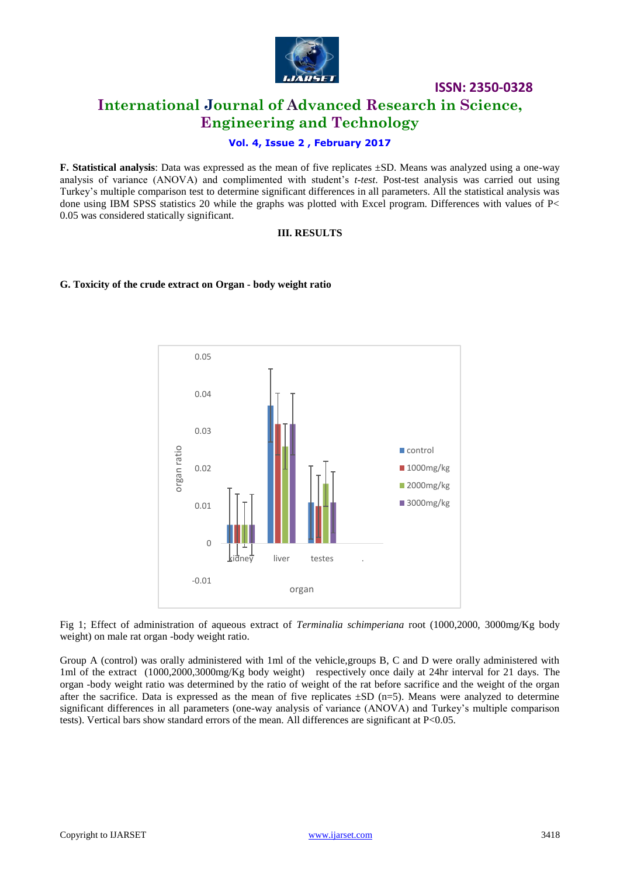

# **ISSN: 2350-0328 International Journal of Advanced Research in Science, Engineering and Technology**

# **Vol. 4, Issue 2 , February 2017**

**F. Statistical analysis**: Data was expressed as the mean of five replicates ±SD. Means was analyzed using a one-way analysis of variance (ANOVA) and complimented with student's *t-test*. Post-test analysis was carried out using Turkey's multiple comparison test to determine significant differences in all parameters. All the statistical analysis was done using IBM SPSS statistics 20 while the graphs was plotted with Excel program. Differences with values of P< 0.05 was considered statically significant.

#### **III. RESULTS**

#### **G. Toxicity of the crude extract on Organ - body weight ratio**



Fig 1; Effect of administration of aqueous extract of *Terminalia schimperiana* root (1000,2000, 3000mg/Kg body weight) on male rat organ -body weight ratio.

Group A (control) was orally administered with 1ml of the vehicle,groups B, C and D were orally administered with 1ml of the extract (1000,2000,3000mg/Kg body weight) respectively once daily at 24hr interval for 21 days. The organ -body weight ratio was determined by the ratio of weight of the rat before sacrifice and the weight of the organ after the sacrifice. Data is expressed as the mean of five replicates  $\pm SD$  (n=5). Means were analyzed to determine significant differences in all parameters (one-way analysis of variance (ANOVA) and Turkey's multiple comparison tests). Vertical bars show standard errors of the mean. All differences are significant at P<0.05.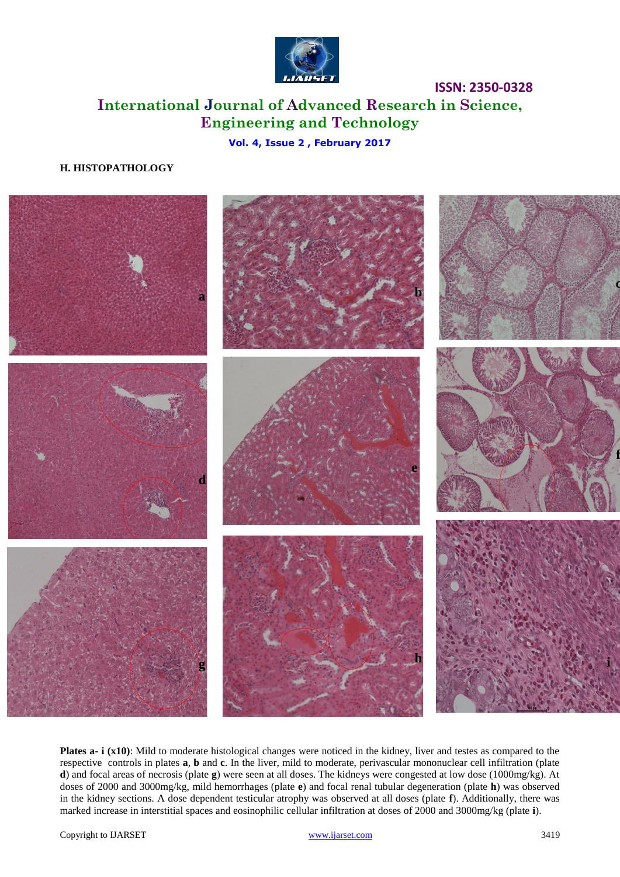

# **ISSN: 2350-0328 International Journal of Advanced Research in Science, Engineering and Technology**

# **Vol. 4, Issue 2 , February 2017**

# **H. HISTOPATHOLOGY**



**Plates a- i (x10)**: Mild to moderate histological changes were noticed in the kidney, liver and testes as compared to the respective controls in plates **a**, **b** and **c**. In the liver, mild to moderate, perivascular mononuclear cell infiltration (plate **d**) and focal areas of necrosis (plate **g**) were seen at all doses. The kidneys were congested at low dose (1000mg/kg). At doses of 2000 and 3000mg/kg, mild hemorrhages (plate **e**) and focal renal tubular degeneration (plate **h**) was observed in the kidney sections. A dose dependent testicular atrophy was observed at all doses (plate **f**). Additionally, there was marked increase in interstitial spaces and eosinophilic cellular infiltration at doses of 2000 and 3000mg/kg (plate **i**).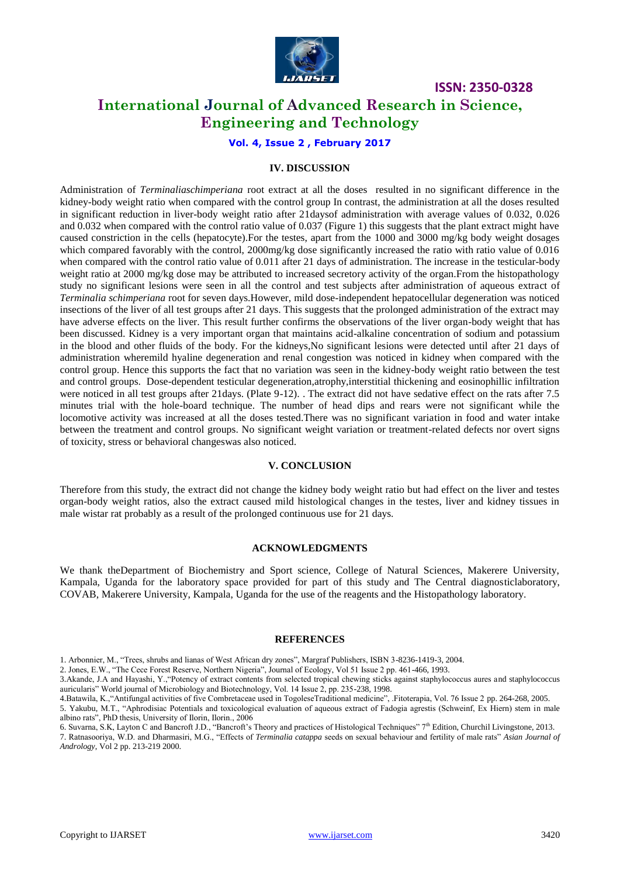

**ISSN: 2350-0328**

# **International Journal of Advanced Research in Science, Engineering and Technology**

**Vol. 4, Issue 2 , February 2017**

## **IV. DISCUSSION**

Administration of *Terminaliaschimperiana* root extract at all the doses resulted in no significant difference in the kidney-body weight ratio when compared with the control group In contrast, the administration at all the doses resulted in significant reduction in liver-body weight ratio after 21daysof administration with average values of 0.032, 0.026 and 0.032 when compared with the control ratio value of 0.037 (Figure 1) this suggests that the plant extract might have caused constriction in the cells (hepatocyte).For the testes, apart from the 1000 and 3000 mg/kg body weight dosages which compared favorably with the control, 2000mg/kg dose significantly increased the ratio with ratio value of 0.016 when compared with the control ratio value of 0.011 after 21 days of administration. The increase in the testicular-body weight ratio at 2000 mg/kg dose may be attributed to increased secretory activity of the organ.From the histopathology study no significant lesions were seen in all the control and test subjects after administration of aqueous extract of *Terminalia schimperiana* root for seven days.However, mild dose-independent hepatocellular degeneration was noticed insections of the liver of all test groups after 21 days. This suggests that the prolonged administration of the extract may have adverse effects on the liver. This result further confirms the observations of the liver organ-body weight that has been discussed. Kidney is a very important organ that maintains acid-alkaline concentration of sodium and potassium in the blood and other fluids of the body. For the kidneys,No significant lesions were detected until after 21 days of administration wheremild hyaline degeneration and renal congestion was noticed in kidney when compared with the control group. Hence this supports the fact that no variation was seen in the kidney-body weight ratio between the test and control groups. Dose-dependent testicular degeneration,atrophy,interstitial thickening and eosinophillic infiltration were noticed in all test groups after 21days. (Plate 9-12). . The extract did not have sedative effect on the rats after 7.5 minutes trial with the hole-board technique. The number of head dips and rears were not significant while the locomotive activity was increased at all the doses tested.There was no significant variation in food and water intake between the treatment and control groups. No significant weight variation or treatment-related defects nor overt signs of toxicity, stress or behavioral changeswas also noticed.

### **V. CONCLUSION**

Therefore from this study, the extract did not change the kidney body weight ratio but had effect on the liver and testes organ-body weight ratios, also the extract caused mild histological changes in the testes, liver and kidney tissues in male wistar rat probably as a result of the prolonged continuous use for 21 days.

#### **ACKNOWLEDGMENTS**

We thank theDepartment of Biochemistry and Sport science, College of Natural Sciences, Makerere University, Kampala, Uganda for the laboratory space provided for part of this study and The Central diagnosticlaboratory, COVAB, Makerere University, Kampala, Uganda for the use of the reagents and the Histopathology laboratory.

#### **REFERENCES**

2. Jones, E.W., "The Cece Forest Reserve, Northern Nigeria", Journal of Ecology, Vol 51 Issue 2 pp. 461-466, 1993.

3.Akande, J.A and Hayashi, Y.,"Potency of extract contents from selected tropical chewing sticks against staphylococcus aures and staphylococcus auricularis" World journal of Microbiology and Biotechnology, Vol. 14 Issue 2, pp. 235-238, 1998.

7. Ratnasooriya, W.D. and Dharmasiri, M.G., "Effects of *Terminalia catappa* seeds on sexual behaviour and fertility of male rats" *Asian Journal of Andrology*, Vol 2 pp. 213-219 2000.

<sup>1.</sup> Arbonnier, M., "Trees, shrubs and lianas of West African dry zones", Margraf Publishers, ISBN 3-8236-1419-3, 2004.

<sup>4.</sup>Batawila, K.,"Antifungal activities of five Combretaceae used in TogoleseTraditional medicine", .Fitoterapia, Vol. 76 Issue 2 pp. 264-268, 2005. 5. Yakubu, M.T., "Aphrodisiac Potentials and toxicological evaluation of aqueous extract of Fadogia agrestis (Schweinf, Ex Hiern) stem in male albino rats", PhD thesis, University of Ilorin, Ilorin., 2006

<sup>6.</sup> Suvarna, S.K, Layton C and Bancroft J.D., "Bancroft's Theory and practices of Histological Techniques" 7<sup>th</sup> Edition, Churchil Livingstone, 2013.